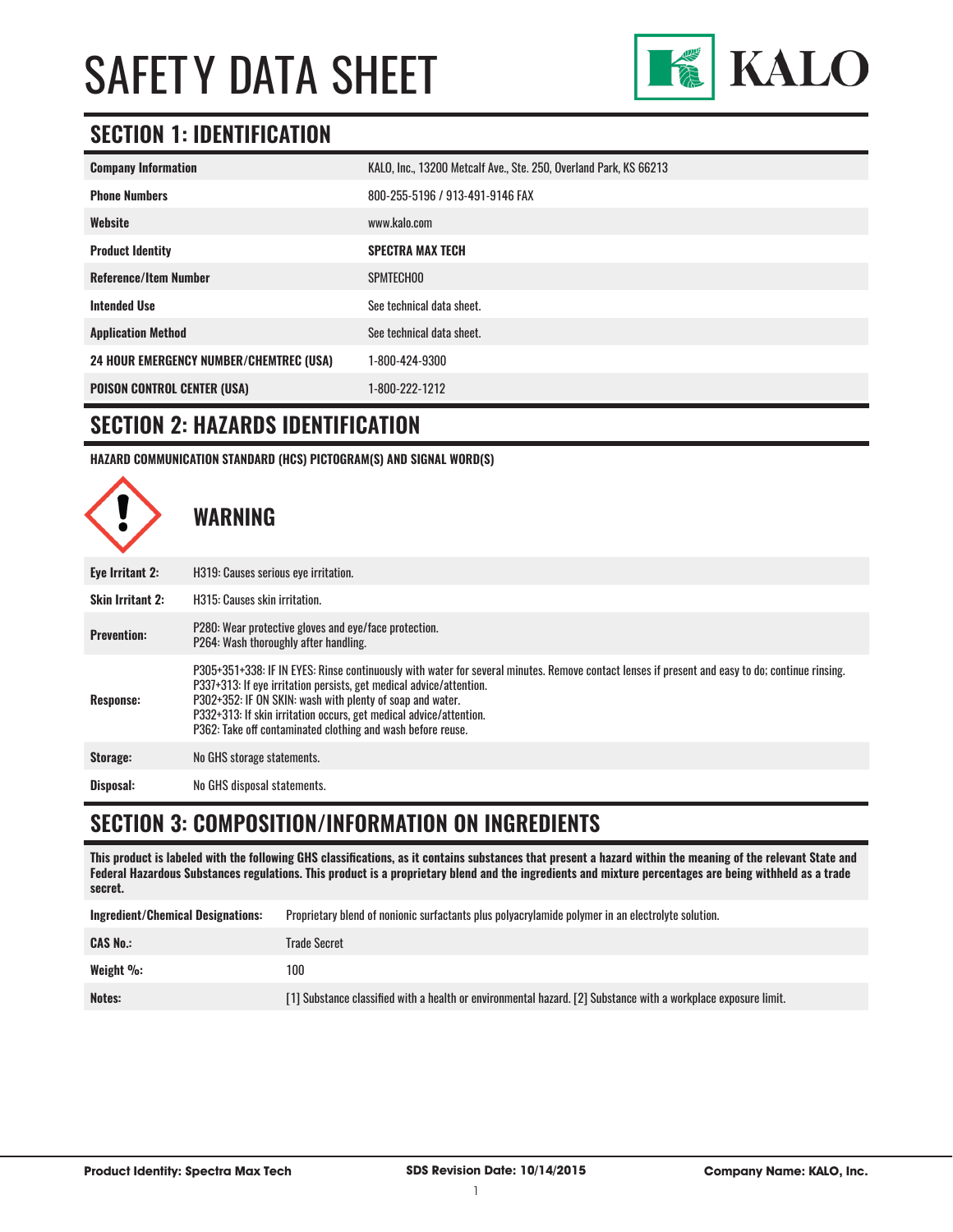

## **SECTION 1: IDENTIFICATION**

| <b>Company Information</b>                     | KALO, Inc., 13200 Metcalf Ave., Ste. 250, Overland Park, KS 66213 |
|------------------------------------------------|-------------------------------------------------------------------|
| <b>Phone Numbers</b>                           | 800-255-5196 / 913-491-9146 FAX                                   |
| Website                                        | www.kalo.com                                                      |
| <b>Product Identity</b>                        | <b>SPECTRA MAX TECH</b>                                           |
| <b>Reference/Item Number</b>                   | SPMTECH00                                                         |
| <b>Intended Use</b>                            | See technical data sheet.                                         |
| <b>Application Method</b>                      | See technical data sheet.                                         |
| <b>24 HOUR EMERGENCY NUMBER/CHEMTREC (USA)</b> | 1-800-424-9300                                                    |
| <b>POISON CONTROL CENTER (USA)</b>             | 1-800-222-1212                                                    |

#### **SECTION 2: HAZARDS IDENTIFICATION**

**HAZARD COMMUNICATION STANDARD (HCS) PICTOGRAM(S) AND SIGNAL WORD(S)**



### **SECTION 3: COMPOSITION/INFORMATION ON INGREDIENTS**

**This product is labeled with the following GHS classifications, as it contains substances that present a hazard within the meaning of the relevant State and Federal Hazardous Substances regulations. This product is a proprietary blend and the ingredients and mixture percentages are being withheld as a trade secret.**

| <b>Ingredient/Chemical Designations:</b> | Proprietary blend of nonionic surfactants plus polyacrylamide polymer in an electrolyte solution.              |
|------------------------------------------|----------------------------------------------------------------------------------------------------------------|
| <b>CAS No.:</b>                          | Trade Secret                                                                                                   |
| Weight %:                                | 100                                                                                                            |
| Notes:                                   | [1] Substance classified with a health or environmental hazard. [2] Substance with a workplace exposure limit. |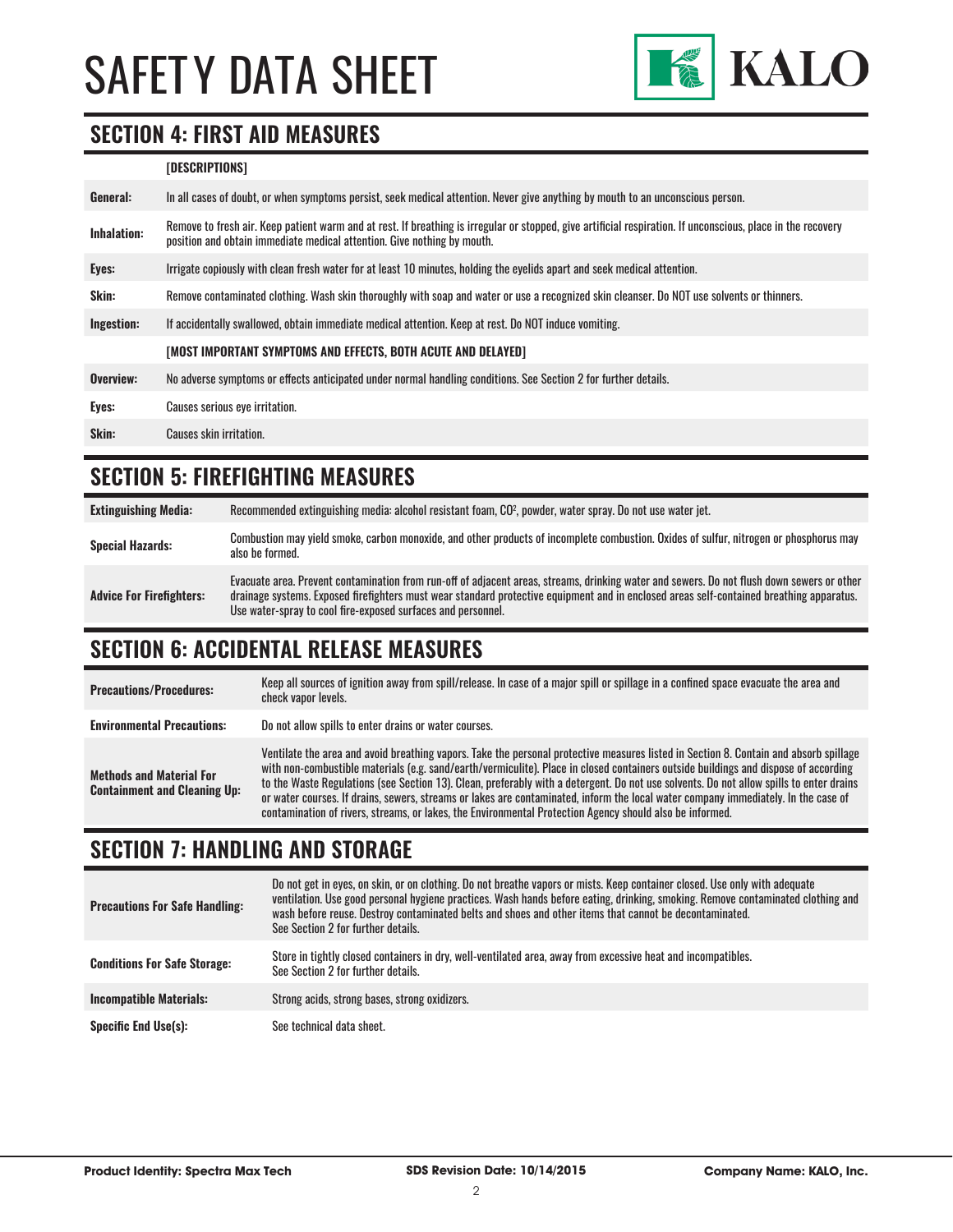

#### **SECTION 4: FIRST AID MEASURES**

#### **[DESCRIPTIONS]**

| Remove to fresh air. Keep patient warm and at rest. If breathing is irregular or stopped, give artificial respiration. If unconscious, place in the recovery<br><b>Inhalation:</b><br>position and obtain immediate medical attention. Give nothing by mouth. |  |
|---------------------------------------------------------------------------------------------------------------------------------------------------------------------------------------------------------------------------------------------------------------|--|
| Irrigate copiously with clean fresh water for at least 10 minutes, holding the eyelids apart and seek medical attention.<br>Eyes:                                                                                                                             |  |
| <b>Skin:</b><br>Remove contaminated clothing. Wash skin thoroughly with soap and water or use a recognized skin cleanser. Do NOT use solvents or thinners.                                                                                                    |  |
| Ingestion:<br>If accidentally swallowed, obtain immediate medical attention. Keep at rest. Do NOT induce vomiting.                                                                                                                                            |  |
| [MOST IMPORTANT SYMPTOMS AND EFFECTS, BOTH ACUTE AND DELAYED]                                                                                                                                                                                                 |  |
| Overview:<br>No adverse symptoms or effects anticipated under normal handling conditions. See Section 2 for further details.                                                                                                                                  |  |
| Eyes:<br>Causes serious eye irritation.                                                                                                                                                                                                                       |  |
| Skin:<br>Causes skin irritation.                                                                                                                                                                                                                              |  |

### **SECTION 5: FIREFIGHTING MEASURES**

| <b>Extinguishing Media:</b>     | Recommended extinguishing media: alcohol resistant foam, CO <sup>2</sup> , powder, water spray. Do not use water jet.                                                                                                                                                                                                                                  |
|---------------------------------|--------------------------------------------------------------------------------------------------------------------------------------------------------------------------------------------------------------------------------------------------------------------------------------------------------------------------------------------------------|
| <b>Special Hazards:</b>         | Combustion may yield smoke, carbon monoxide, and other products of incomplete combustion. Oxides of sulfur, nitrogen or phosphorus may<br>also be formed.                                                                                                                                                                                              |
| <b>Advice For Firefighters:</b> | Evacuate area. Prevent contamination from run-off of adjacent areas, streams, drinking water and sewers. Do not flush down sewers or other<br>drainage systems. Exposed firefighters must wear standard protective equipment and in enclosed areas self-contained breathing apparatus.<br>Use water-spray to cool fire-exposed surfaces and personnel. |

### **SECTION 6: ACCIDENTAL RELEASE MEASURES**

| <b>Precautions/Procedures:</b>                                         | Keep all sources of ignition away from spill/release. In case of a major spill or spillage in a confined space evacuate the area and<br>check vapor levels.                                                                                                                                                                                                                                                                                                                                                                                                                                                                                                               |
|------------------------------------------------------------------------|---------------------------------------------------------------------------------------------------------------------------------------------------------------------------------------------------------------------------------------------------------------------------------------------------------------------------------------------------------------------------------------------------------------------------------------------------------------------------------------------------------------------------------------------------------------------------------------------------------------------------------------------------------------------------|
| <b>Environmental Precautions:</b>                                      | Do not allow spills to enter drains or water courses.                                                                                                                                                                                                                                                                                                                                                                                                                                                                                                                                                                                                                     |
| <b>Methods and Material For</b><br><b>Containment and Cleaning Up:</b> | Ventilate the area and avoid breathing vapors. Take the personal protective measures listed in Section 8. Contain and absorb spillage<br>with non-combustible materials (e.g. sand/earth/vermiculite). Place in closed containers outside buildings and dispose of according<br>to the Waste Regulations (see Section 13). Clean, preferably with a detergent. Do not use solvents. Do not allow spills to enter drains<br>or water courses. If drains, sewers, streams or lakes are contaminated, inform the local water company immediately. In the case of<br>contamination of rivers, streams, or lakes, the Environmental Protection Agency should also be informed. |

## **SECTION 7: HANDLING AND STORAGE**

| <b>Precautions For Safe Handling:</b> | Do not get in eyes, on skin, or on clothing. Do not breathe vapors or mists. Keep container closed. Use only with adequate<br>ventilation. Use good personal hygiene practices. Wash hands before eating, drinking, smoking. Remove contaminated clothing and<br>wash before reuse. Destroy contaminated belts and shoes and other items that cannot be decontaminated.<br>See Section 2 for further details. |
|---------------------------------------|---------------------------------------------------------------------------------------------------------------------------------------------------------------------------------------------------------------------------------------------------------------------------------------------------------------------------------------------------------------------------------------------------------------|
| <b>Conditions For Safe Storage:</b>   | Store in tightly closed containers in dry, well-ventilated area, away from excessive heat and incompatibles.<br>See Section 2 for further details.                                                                                                                                                                                                                                                            |
| <b>Incompatible Materials:</b>        | Strong acids, strong bases, strong oxidizers.                                                                                                                                                                                                                                                                                                                                                                 |
| <b>Specific End Use(s):</b>           | See technical data sheet.                                                                                                                                                                                                                                                                                                                                                                                     |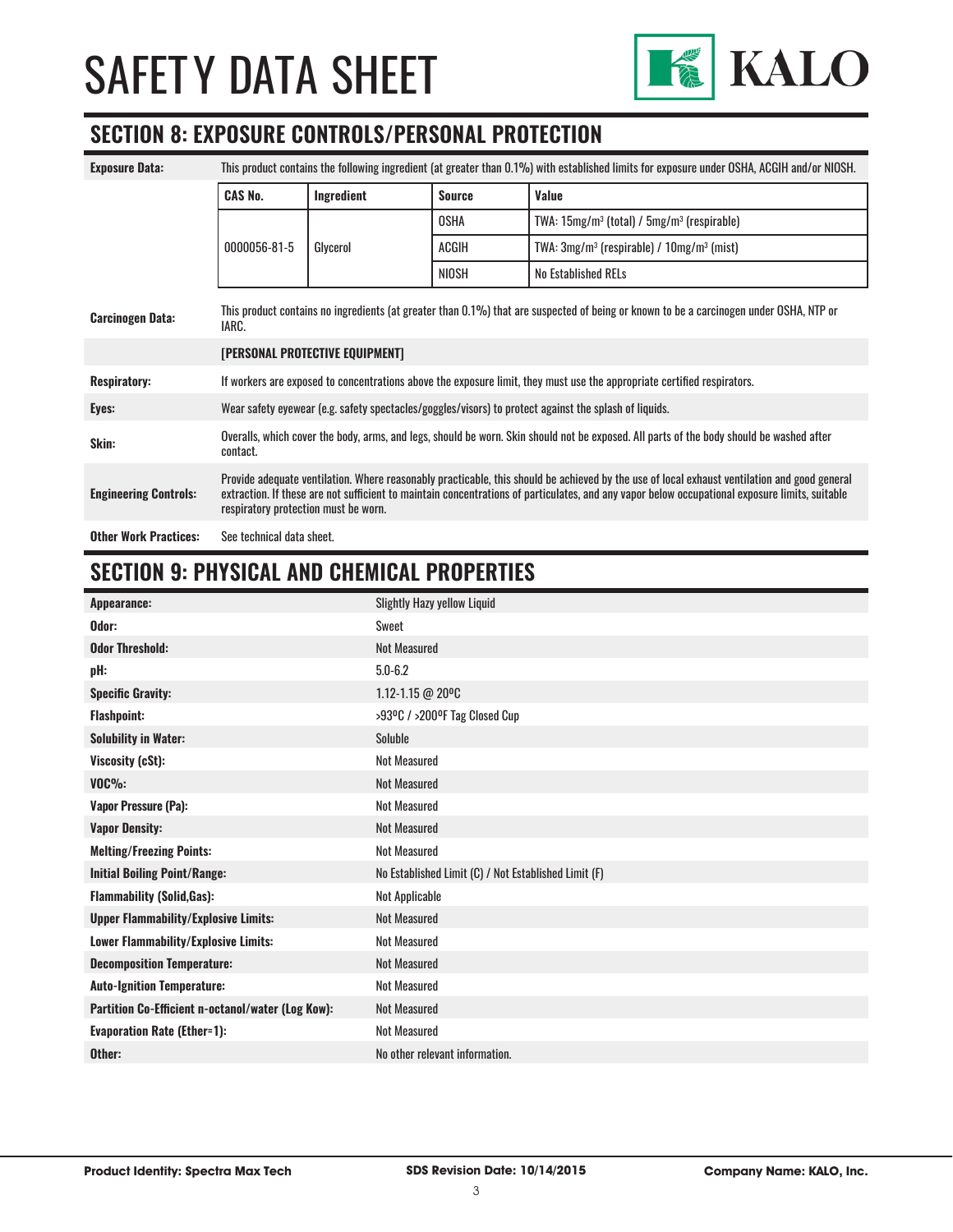

### **SECTION 8: EXPOSURE CONTROLS/PERSONAL PROTECTION**

| <b>Exposure Data:</b>        | This product contains the following ingredient (at greater than 0.1%) with established limits for exposure under OSHA, ACGIH and/or NIOSH.                                                                                                                                                                                             |            |               |                                                 |
|------------------------------|----------------------------------------------------------------------------------------------------------------------------------------------------------------------------------------------------------------------------------------------------------------------------------------------------------------------------------------|------------|---------------|-------------------------------------------------|
|                              | <b>CAS No.</b>                                                                                                                                                                                                                                                                                                                         | Ingredient | <b>Source</b> | Value                                           |
|                              |                                                                                                                                                                                                                                                                                                                                        |            | <b>OSHA</b>   | TWA: $15mg/m3$ (total) / $5mg/m3$ (respirable)  |
|                              | 0000056-81-5                                                                                                                                                                                                                                                                                                                           | Glycerol   | ACGIH         | TWA: $3mg/m^3$ (respirable) / $10mg/m^3$ (mist) |
|                              |                                                                                                                                                                                                                                                                                                                                        |            | NIOSH         | <b>No Established RELs</b>                      |
| <b>Carcinogen Data:</b>      | This product contains no ingredients (at greater than 0.1%) that are suspected of being or known to be a carcinogen under OSHA, NTP or<br>IARC.                                                                                                                                                                                        |            |               |                                                 |
|                              | [PERSONAL PROTECTIVE EQUIPMENT]                                                                                                                                                                                                                                                                                                        |            |               |                                                 |
| <b>Respiratory:</b>          | If workers are exposed to concentrations above the exposure limit, they must use the appropriate certified respirators.                                                                                                                                                                                                                |            |               |                                                 |
| Eyes:                        | Wear safety eyewear (e.g. safety spectacles/goggles/visors) to protect against the splash of liquids.                                                                                                                                                                                                                                  |            |               |                                                 |
| Skin:                        | Overalls, which cover the body, arms, and legs, should be worn. Skin should not be exposed. All parts of the body should be washed after<br>contact.                                                                                                                                                                                   |            |               |                                                 |
| <b>Engineering Controls:</b> | Provide adequate ventilation. Where reasonably practicable, this should be achieved by the use of local exhaust ventilation and good general<br>extraction. If these are not sufficient to maintain concentrations of particulates, and any vapor below occupational exposure limits, suitable<br>respiratory protection must be worn. |            |               |                                                 |
| <b>Other Work Practices:</b> | See technical data sheet.                                                                                                                                                                                                                                                                                                              |            |               |                                                 |

# **SECTION 9: PHYSICAL AND CHEMICAL PROPERTIES**

| Appearance:                                       | <b>Slightly Hazy yellow Liquid</b>                   |
|---------------------------------------------------|------------------------------------------------------|
| Odor:                                             | <b>Sweet</b>                                         |
| <b>Odor Threshold:</b>                            | <b>Not Measured</b>                                  |
| pH:                                               | $5.0 - 6.2$                                          |
| <b>Specific Gravity:</b>                          | 1.12-1.15 @ 20°C                                     |
| <b>Flashpoint:</b>                                | >93ºC / >200ºF Tag Closed Cup                        |
| <b>Solubility in Water:</b>                       | Soluble                                              |
| Viscosity (cSt):                                  | <b>Not Measured</b>                                  |
| $VOC\%$ :                                         | <b>Not Measured</b>                                  |
| <b>Vapor Pressure (Pa):</b>                       | <b>Not Measured</b>                                  |
| <b>Vapor Density:</b>                             | Not Measured                                         |
| <b>Melting/Freezing Points:</b>                   | <b>Not Measured</b>                                  |
| <b>Initial Boiling Point/Range:</b>               | No Established Limit (C) / Not Established Limit (F) |
| <b>Flammability (Solid, Gas):</b>                 | Not Applicable                                       |
| <b>Upper Flammability/Explosive Limits:</b>       | <b>Not Measured</b>                                  |
| Lower Flammability/Explosive Limits:              | <b>Not Measured</b>                                  |
| <b>Decomposition Temperature:</b>                 | Not Measured                                         |
| <b>Auto-Ignition Temperature:</b>                 | Not Measured                                         |
| Partition Co-Efficient n-octanol/water (Log Kow): | <b>Not Measured</b>                                  |
| <b>Evaporation Rate (Ether=1):</b>                | <b>Not Measured</b>                                  |
| Other:                                            | No other relevant information.                       |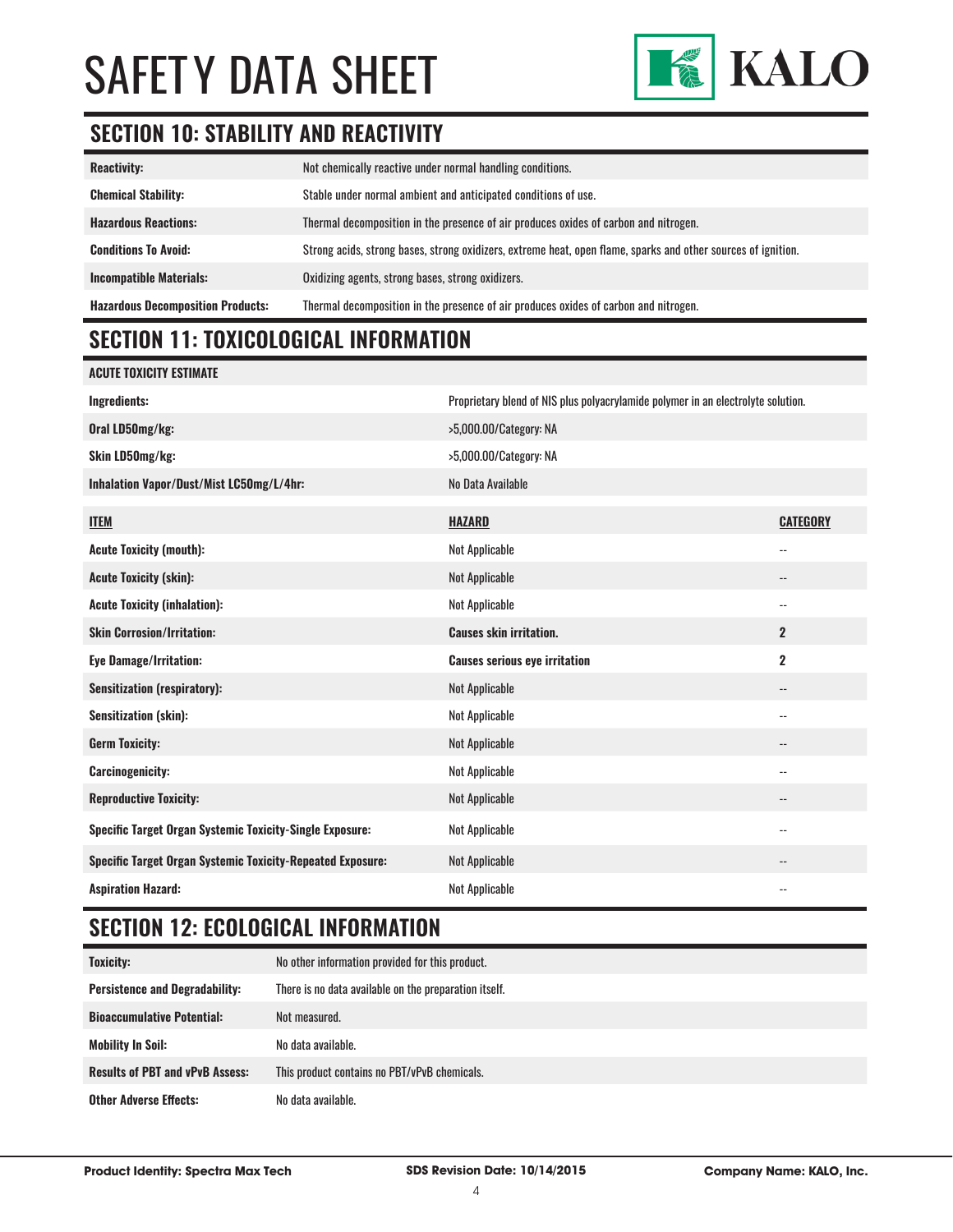

# **SECTION 10: STABILITY AND REACTIVITY**

| <b>Reactivity:</b>                       | Not chemically reactive under normal handling conditions.                                                     |
|------------------------------------------|---------------------------------------------------------------------------------------------------------------|
| <b>Chemical Stability:</b>               | Stable under normal ambient and anticipated conditions of use.                                                |
| <b>Hazardous Reactions:</b>              | Thermal decomposition in the presence of air produces oxides of carbon and nitrogen.                          |
| <b>Conditions To Avoid:</b>              | Strong acids, strong bases, strong oxidizers, extreme heat, open flame, sparks and other sources of ignition. |
| <b>Incompatible Materials:</b>           | Oxidizing agents, strong bases, strong oxidizers.                                                             |
| <b>Hazardous Decomposition Products:</b> | Thermal decomposition in the presence of air produces oxides of carbon and nitrogen.                          |

# **SECTION 11: TOXICOLOGICAL INFORMATION**

| <b>ACUTE TOXICITY ESTIMATE</b>                                    |                                                                                  |                          |
|-------------------------------------------------------------------|----------------------------------------------------------------------------------|--------------------------|
| <b>Ingredients:</b>                                               | Proprietary blend of NIS plus polyacrylamide polymer in an electrolyte solution. |                          |
| Oral LD50mg/kg:                                                   | >5,000.00/Category: NA                                                           |                          |
| Skin LD50mg/kg:                                                   | >5,000.00/Category: NA                                                           |                          |
| Inhalation Vapor/Dust/Mist LC50mg/L/4hr:                          | No Data Available                                                                |                          |
| <b>ITEM</b>                                                       | <b>HAZARD</b>                                                                    | <b>CATEGORY</b>          |
| <b>Acute Toxicity (mouth):</b>                                    | <b>Not Applicable</b>                                                            | $\overline{\phantom{a}}$ |
| <b>Acute Toxicity (skin):</b>                                     | <b>Not Applicable</b>                                                            | --                       |
| <b>Acute Toxicity (inhalation):</b>                               | Not Applicable                                                                   | $\overline{\phantom{a}}$ |
| <b>Skin Corrosion/Irritation:</b>                                 | <b>Causes skin irritation.</b>                                                   | $\overline{2}$           |
| <b>Eye Damage/Irritation:</b>                                     | <b>Causes serious eye irritation</b>                                             | $\mathbf 2$              |
| <b>Sensitization (respiratory):</b>                               | <b>Not Applicable</b>                                                            | $\overline{\phantom{a}}$ |
| <b>Sensitization (skin):</b>                                      | <b>Not Applicable</b>                                                            | $\overline{a}$           |
| <b>Germ Toxicity:</b>                                             | <b>Not Applicable</b>                                                            | $\overline{\phantom{a}}$ |
| <b>Carcinogenicity:</b>                                           | <b>Not Applicable</b>                                                            | $\overline{\phantom{a}}$ |
| <b>Reproductive Toxicity:</b>                                     | <b>Not Applicable</b>                                                            | $\overline{\phantom{a}}$ |
| Specific Target Organ Systemic Toxicity-Single Exposure:          | <b>Not Applicable</b>                                                            | $\overline{a}$           |
| <b>Specific Target Organ Systemic Toxicity-Repeated Exposure:</b> | <b>Not Applicable</b>                                                            |                          |
| <b>Aspiration Hazard:</b>                                         | <b>Not Applicable</b>                                                            | $-$                      |

# **SECTION 12: ECOLOGICAL INFORMATION**

| <b>Toxicity:</b>                       | No other information provided for this product.       |
|----------------------------------------|-------------------------------------------------------|
| <b>Persistence and Degradability:</b>  | There is no data available on the preparation itself. |
| <b>Bioaccumulative Potential:</b>      | Not measured.                                         |
| Mobility In Soil:                      | No data available.                                    |
| <b>Results of PBT and vPvB Assess:</b> | This product contains no PBT/vPvB chemicals.          |
| <b>Other Adverse Effects:</b>          | No data available.                                    |